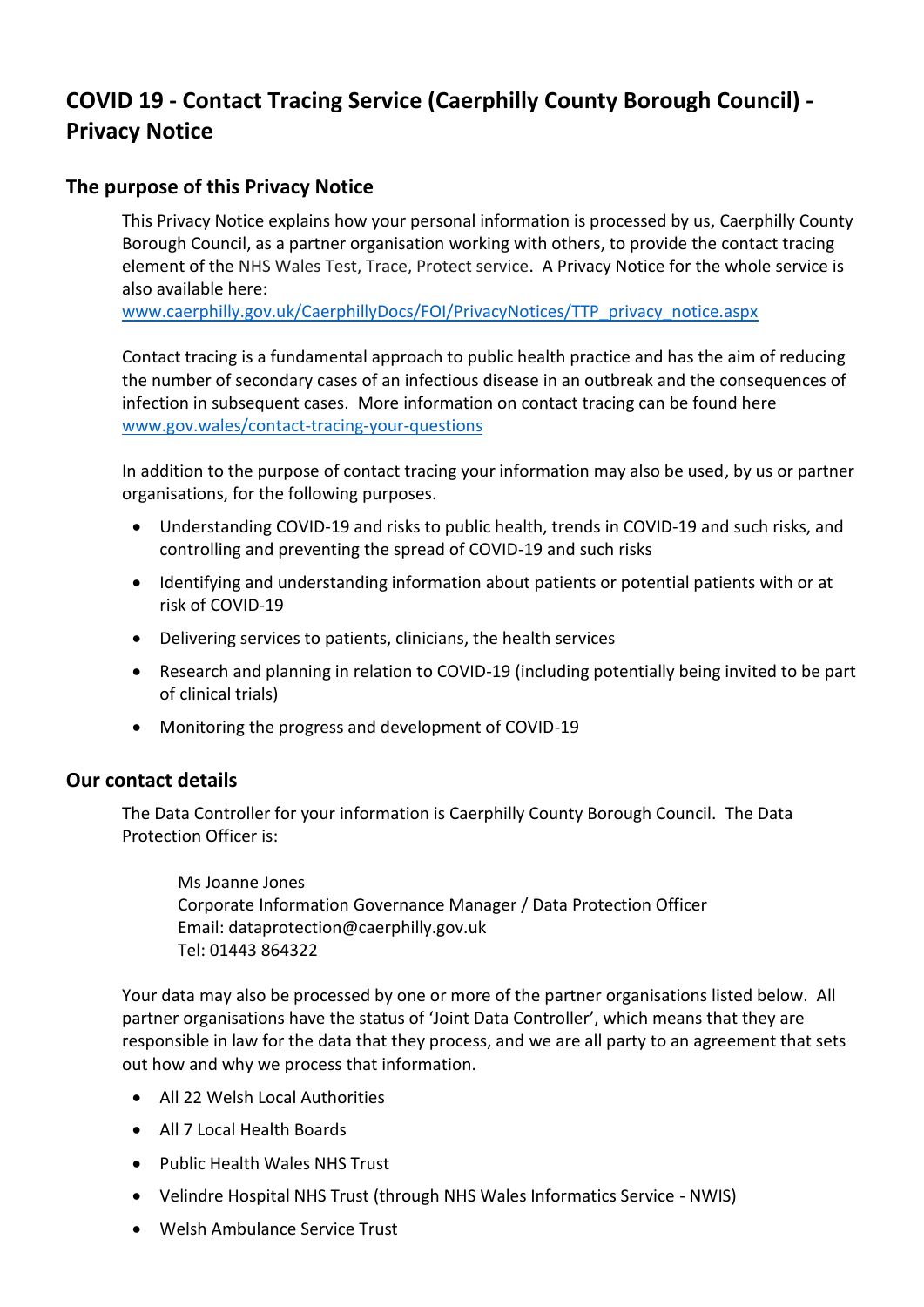# **COVID 19 - Contact Tracing Service (Caerphilly County Borough Council) - Privacy Notice**

## **The purpose of this Privacy Notice**

This Privacy Notice explains how your personal information is processed by us, Caerphilly County Borough Council, as a partner organisation working with others, to provide the contact tracing element of the NHS Wales Test, Trace, Protect service. A Privacy Notice for the whole service is also available here:

[www.caerphilly.gov.uk/CaerphillyDocs/FOI/PrivacyNotices/TTP\\_privacy\\_notice.aspx](https://www.caerphilly.gov.uk/CaerphillyDocs/FOI/PrivacyNotices/TTP_privacy_notice.aspx)

Contact tracing is a fundamental approach to public health practice and has the aim of reducing the number of secondary cases of an infectious disease in an outbreak and the consequences of infection in subsequent cases. More information on contact tracing can be found here [www.gov.wales/contact-tracing-your-questions](https://gov.wales/contact-tracing-your-questions)

In addition to the purpose of contact tracing your information may also be used, by us or partner organisations, for the following purposes.

- Understanding COVID-19 and risks to public health, trends in COVID-19 and such risks, and controlling and preventing the spread of COVID-19 and such risks
- Identifying and understanding information about patients or potential patients with or at risk of COVID-19
- Delivering services to patients, clinicians, the health services
- Research and planning in relation to COVID-19 (including potentially being invited to be part of clinical trials)
- Monitoring the progress and development of COVID-19

#### **Our contact details**

The Data Controller for your information is Caerphilly County Borough Council. The Data Protection Officer is:

Ms Joanne Jones Corporate Information Governance Manager / Data Protection Officer Email: dataprotection@caerphilly.gov.uk Tel: 01443 864322

Your data may also be processed by one or more of the partner organisations listed below. All partner organisations have the status of 'Joint Data Controller', which means that they are responsible in law for the data that they process, and we are all party to an agreement that sets out how and why we process that information.

- All 22 Welsh Local Authorities
- All 7 Local Health Boards
- Public Health Wales NHS Trust
- Velindre Hospital NHS Trust (through NHS Wales Informatics Service NWIS)
- Welsh Ambulance Service Trust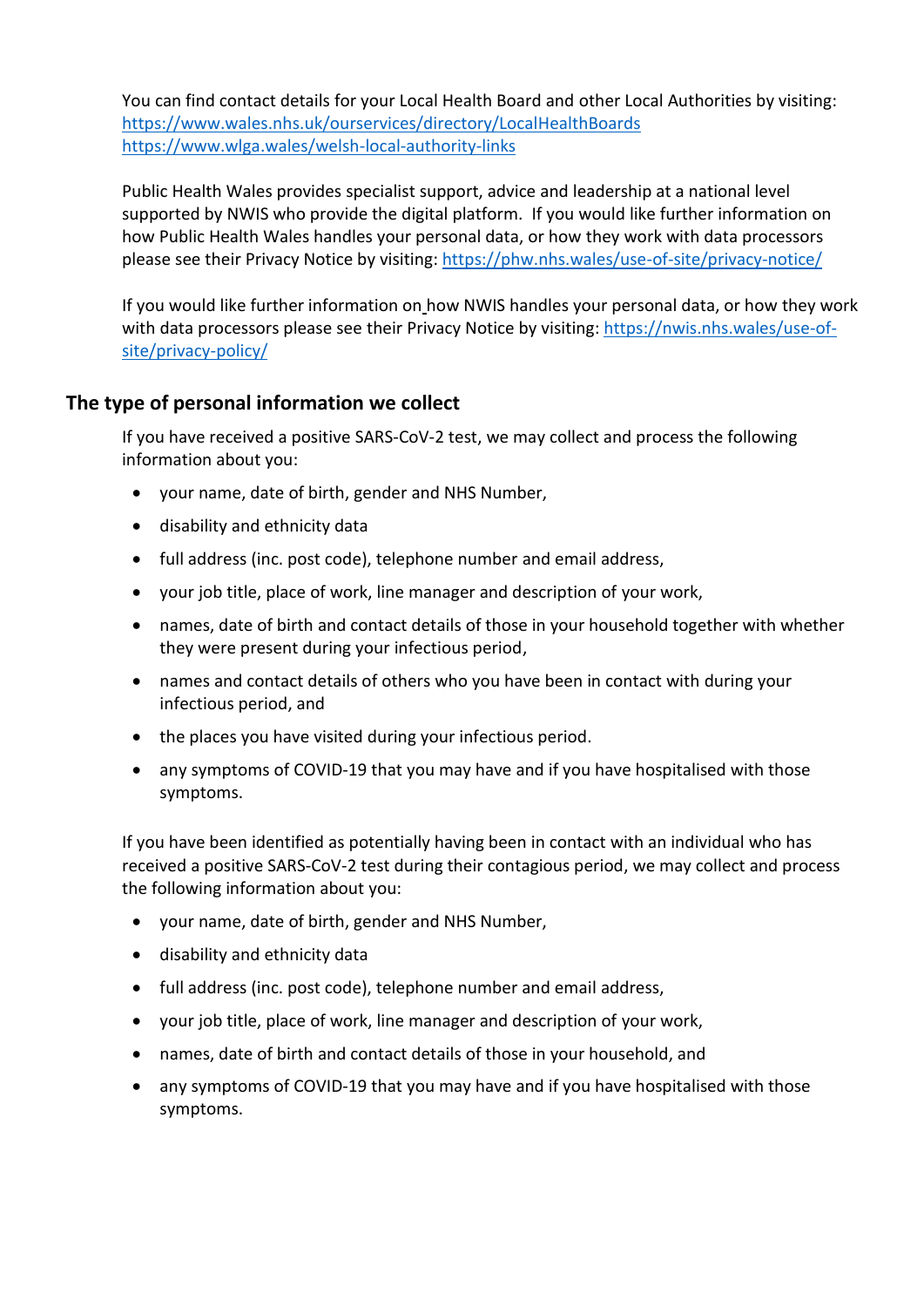You can find contact details for your Local Health Board and other Local Authorities by visiting: <https://www.wales.nhs.uk/ourservices/directory/LocalHealthBoards> <https://www.wlga.wales/welsh-local-authority-links>

Public Health Wales provides specialist support, advice and leadership at a national level supported by NWIS who provide the digital platform. If you would like further information on how Public Health Wales handles your personal data, or how they work with data processors please see their Privacy Notice by visiting:<https://phw.nhs.wales/use-of-site/privacy-notice/>

If you would like further information on how NWIS handles your personal data, or how they work with data processors please see their Privacy Notice by visiting: [https://nwis.nhs.wales/use-of](https://nwis.nhs.wales/use-of-site/privacy-policy/)[site/privacy-policy/](https://nwis.nhs.wales/use-of-site/privacy-policy/)

# **The type of personal information we collect**

If you have received a positive SARS-CoV-2 test, we may collect and process the following information about you:

- your name, date of birth, gender and NHS Number,
- disability and ethnicity data
- full address (inc. post code), telephone number and email address,
- your job title, place of work, line manager and description of your work,
- names, date of birth and contact details of those in your household together with whether they were present during your infectious period,
- names and contact details of others who you have been in contact with during your infectious period, and
- the places you have visited during your infectious period.
- any symptoms of COVID-19 that you may have and if you have hospitalised with those symptoms.

If you have been identified as potentially having been in contact with an individual who has received a positive SARS-CoV-2 test during their contagious period, we may collect and process the following information about you:

- your name, date of birth, gender and NHS Number,
- disability and ethnicity data
- full address (inc. post code), telephone number and email address,
- your job title, place of work, line manager and description of your work,
- names, date of birth and contact details of those in your household, and
- any symptoms of COVID-19 that you may have and if you have hospitalised with those symptoms.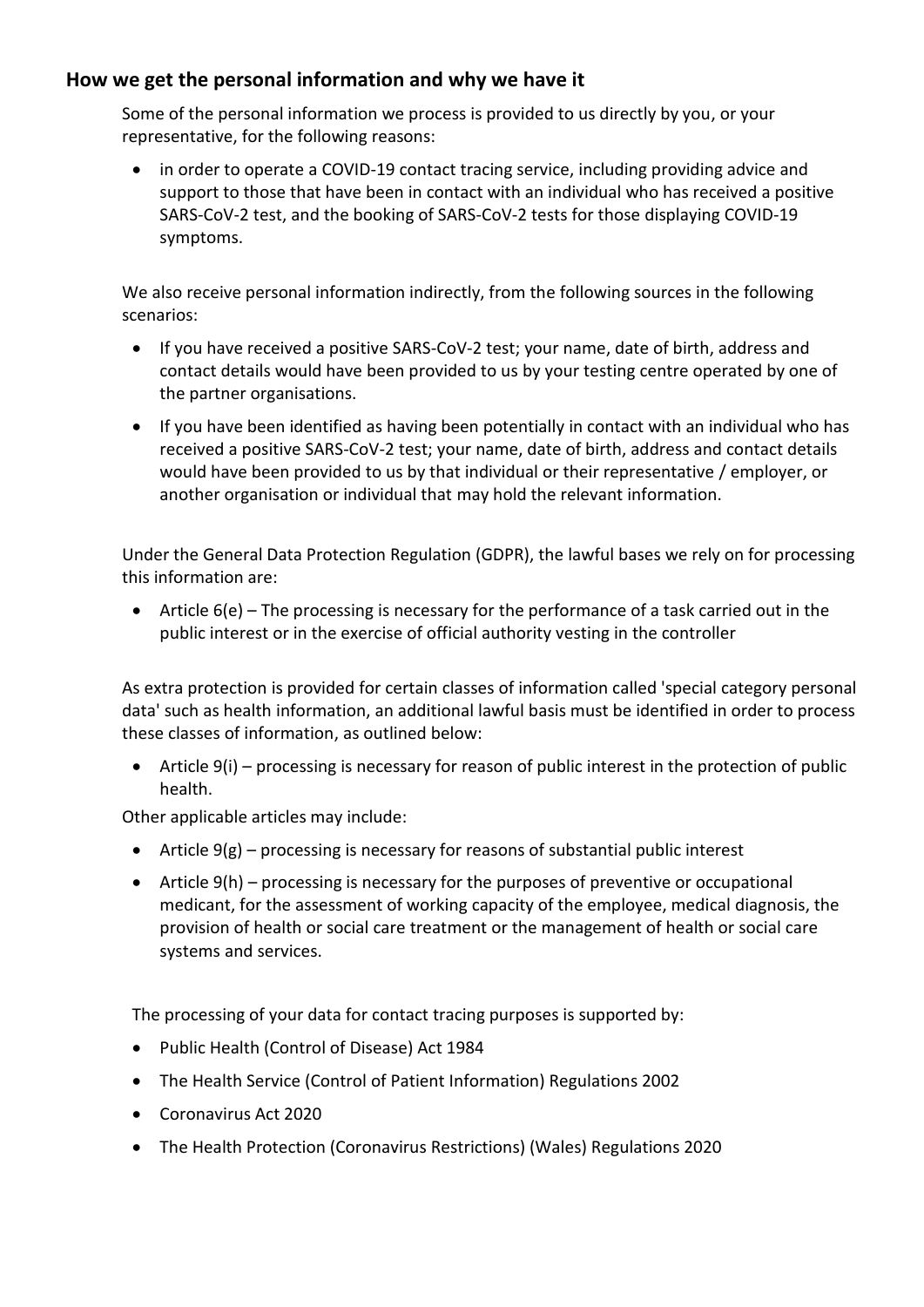# **How we get the personal information and why we have it**

Some of the personal information we process is provided to us directly by you, or your representative, for the following reasons:

• in order to operate a COVID-19 contact tracing service, including providing advice and support to those that have been in contact with an individual who has received a positive SARS-CoV-2 test, and the booking of SARS-CoV-2 tests for those displaying COVID-19 symptoms.

We also receive personal information indirectly, from the following sources in the following scenarios:

- If you have received a positive SARS-CoV-2 test; your name, date of birth, address and contact details would have been provided to us by your testing centre operated by one of the partner organisations.
- If you have been identified as having been potentially in contact with an individual who has received a positive SARS-CoV-2 test; your name, date of birth, address and contact details would have been provided to us by that individual or their representative / employer, or another organisation or individual that may hold the relevant information.

Under the General Data Protection Regulation (GDPR), the lawful bases we rely on for processing this information are:

• Article 6(e) – The processing is necessary for the performance of a task carried out in the public interest or in the exercise of official authority vesting in the controller

As extra protection is provided for certain classes of information called 'special category personal data' such as health information, an additional lawful basis must be identified in order to process these classes of information, as outlined below:

• Article 9(i) – processing is necessary for reason of public interest in the protection of public health.

Other applicable articles may include:

- Article  $9(g)$  processing is necessary for reasons of substantial public interest
- Article 9(h) processing is necessary for the purposes of preventive or occupational medicant, for the assessment of working capacity of the employee, medical diagnosis, the provision of health or social care treatment or the management of health or social care systems and services.

The processing of your data for contact tracing purposes is supported by:

- Public Health (Control of Disease) Act 1984
- The Health Service (Control of Patient Information) Regulations 2002
- Coronavirus Act 2020
- The Health Protection (Coronavirus Restrictions) (Wales) Regulations 2020